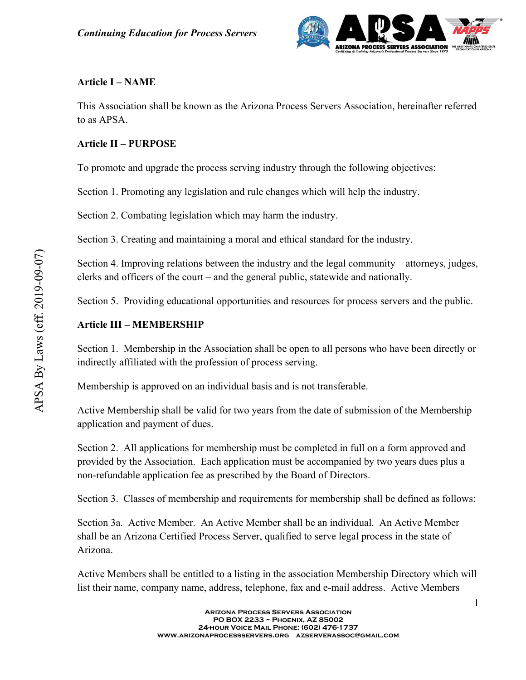

#### Article I – NAME

This Association shall be known as the Arizona Process Servers Association, hereinafter referred to as APSA.

### Article II – PURPOSE

To promote and upgrade the process serving industry through the following objectives:

Section 1. Promoting any legislation and rule changes which will help the industry.

Section 2. Combating legislation which may harm the industry.

Section 3. Creating and maintaining a moral and ethical standard for the industry.

Section 4. Improving relations between the industry and the legal community – attorneys, judges, clerks and officers of the court – and the general public, statewide and nationally.

Section 5. Providing educational opportunities and resources for process servers and the public.

# Article III – MEMBERSHIP

Section 1. Membership in the Association shall be open to all persons who have been directly or indirectly affiliated with the profession of process serving.

Membership is approved on an individual basis and is not transferable.

Active Membership shall be valid for two years from the date of submission of the Membership application and payment of dues.

Section 2. All applications for membership must be completed in full on a form approved and provided by the Association. Each application must be accompanied by two years dues plus a non-refundable application fee as prescribed by the Board of Directors.

Section 3. Classes of membership and requirements for membership shall be defined as follows:

Section 4. Improving relations between the industry and the legal community<br>
elerks and officers of the court – and the general public, statewide and national<br>
Section 5. Providing educational opportunities and resources Section 3a. Active Member. An Active Member shall be an individual. An Active Member shall be an Arizona Certified Process Server, qualified to serve legal process in the state of Arizona.

Active Members shall be entitled to a listing in the association Membership Directory which will list their name, company name, address, telephone, fax and e-mail address. Active Members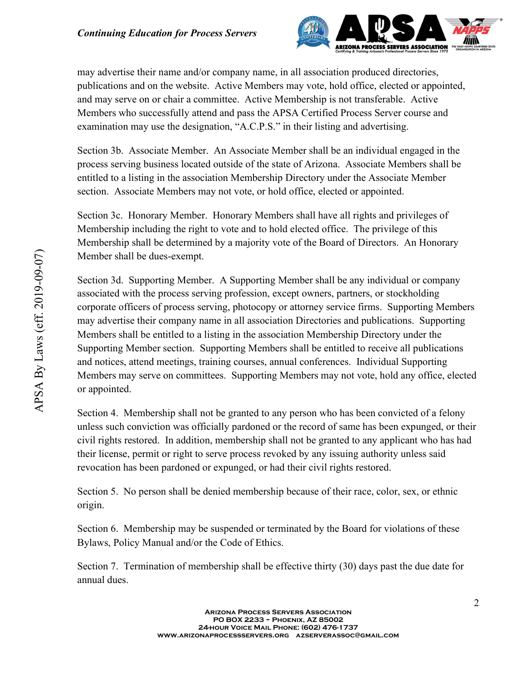

may advertise their name and/or company name, in all association produced directories, publications and on the website. Active Members may vote, hold office, elected or appointed, and may serve on or chair a committee. Active Membership is not transferable. Active Members who successfully attend and pass the APSA Certified Process Server course and examination may use the designation, "A.C.P.S." in their listing and advertising.

Section 3b. Associate Member. An Associate Member shall be an individual engaged in the process serving business located outside of the state of Arizona. Associate Members shall be entitled to a listing in the association Membership Directory under the Associate Member section. Associate Members may not vote, or hold office, elected or appointed.

Section 3c. Honorary Member. Honorary Members shall have all rights and privileges of Membership including the right to vote and to hold elected office. The privilege of this Membership shall be determined by a majority vote of the Board of Directors. An Honorary Member shall be dues-exempt.

Member shall be dues-exempt.<br>
Section 3d. Supporting Member. A Supporting Member shall be any individual<br>
secociated with the process serving profossion, except owners, partners, or stococordical<br>
corporate officers of pro Section 3d. Supporting Member. A Supporting Member shall be any individual or company associated with the process serving profession, except owners, partners, or stockholding corporate officers of process serving, photocopy or attorney service firms. Supporting Members may advertise their company name in all association Directories and publications. Supporting Members shall be entitled to a listing in the association Membership Directory under the Supporting Member section. Supporting Members shall be entitled to receive all publications and notices, attend meetings, training courses, annual conferences. Individual Supporting Members may serve on committees. Supporting Members may not vote, hold any office, elected or appointed.

Section 4. Membership shall not be granted to any person who has been convicted of a felony unless such conviction was officially pardoned or the record of same has been expunged, or their civil rights restored. In addition, membership shall not be granted to any applicant who has had their license, permit or right to serve process revoked by any issuing authority unless said revocation has been pardoned or expunged, or had their civil rights restored.

Section 5. No person shall be denied membership because of their race, color, sex, or ethnic origin.

Section 6. Membership may be suspended or terminated by the Board for violations of these Bylaws, Policy Manual and/or the Code of Ethics.

Section 7. Termination of membership shall be effective thirty (30) days past the due date for annual dues.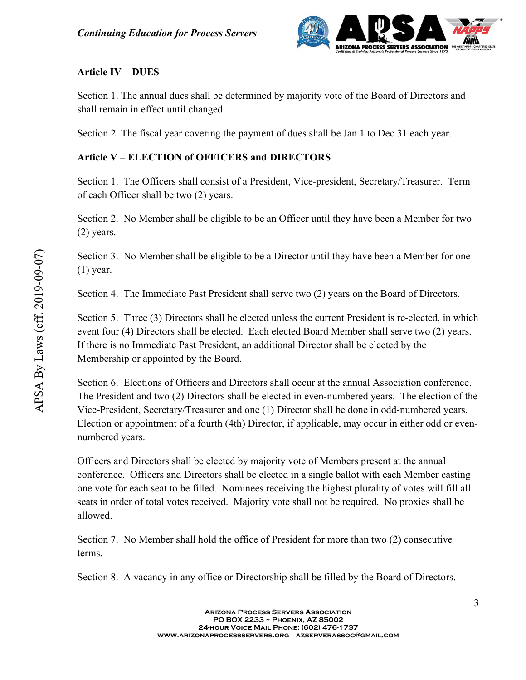

## Article IV – DUES

Section 1. The annual dues shall be determined by majority vote of the Board of Directors and shall remain in effect until changed.

Section 2. The fiscal year covering the payment of dues shall be Jan 1 to Dec 31 each year.

#### Article V – ELECTION of OFFICERS and DIRECTORS

Section 1. The Officers shall consist of a President, Vice-president, Secretary/Treasurer. Term of each Officer shall be two (2) years.

Section 2. No Member shall be eligible to be an Officer until they have been a Member for two (2) years.

Section 3. No Member shall be eligible to be a Director until they have been a Member for one (1) year.

Section 4. The Immediate Past President shall serve two (2) years on the Board of Directors.

Section 5. Three (3) Directors shall be elected unless the current President is re-elected, in which event four (4) Directors shall be elected. Each elected Board Member shall serve two (2) years. If there is no Immediate Past President, an additional Director shall be elected by the Membership or appointed by the Board.

Section 6. Elections of Officers and Directors shall occur at the annual Association conference. The President and two (2) Directors shall be elected in even-numbered years. The election of the Vice-President, Secretary/Treasurer and one (1) Director shall be done in odd-numbered years. Election or appointment of a fourth (4th) Director, if applicable, may occur in either odd or evennumbered years.

Section 3. No Member shall be eligible to be a Director until they have been a<br>
(1) year.<br>
Section 4. The Immediate Past President shall serve two (2) years on the Boar<br>
Section 5. Three (3) Directors shall be elected unle Officers and Directors shall be elected by majority vote of Members present at the annual conference. Officers and Directors shall be elected in a single ballot with each Member casting one vote for each seat to be filled. Nominees receiving the highest plurality of votes will fill all seats in order of total votes received. Majority vote shall not be required. No proxies shall be allowed.

Section 7. No Member shall hold the office of President for more than two (2) consecutive terms.

Section 8. A vacancy in any office or Directorship shall be filled by the Board of Directors.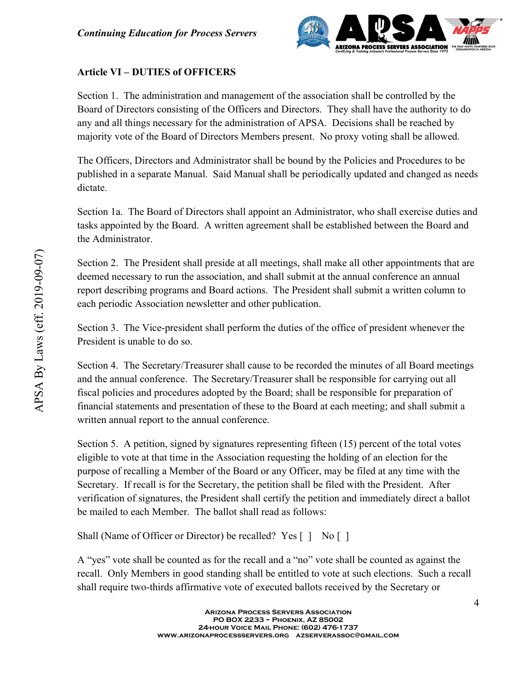

# Article VI – DUTIES of OFFICERS

Section 1. The administration and management of the association shall be controlled by the Board of Directors consisting of the Officers and Directors. They shall have the authority to do any and all things necessary for the administration of APSA. Decisions shall be reached by majority vote of the Board of Directors Members present. No proxy voting shall be allowed.

The Officers, Directors and Administrator shall be bound by the Policies and Procedures to be published in a separate Manual. Said Manual shall be periodically updated and changed as needs dictate.

Section 1a. The Board of Directors shall appoint an Administrator, who shall exercise duties and tasks appointed by the Board. A written agreement shall be established between the Board and the Administrator.

Section 2. The President shall preside at all meetings, shall make all other appointments that are deemed necessary to run the association, and shall submit at the annual conference an annual report describing programs and Board actions. The President shall submit a written column to each periodic Association newsletter and other publication.

Section 3. The Vice-president shall perform the duties of the office of president whenever the President is unable to do so.

Section 4. The Secretary/Treasurer shall cause to be recorded the minutes of all Board meetings and the annual conference. The Secretary/Treasurer shall be responsible for carrying out all fiscal policies and procedures adopted by the Board; shall be responsible for preparation of financial statements and presentation of these to the Board at each meeting; and shall submit a written annual report to the annual conference.

Section 2. The President shall preside at all meetings, shall make all other approach accessary to run the association, and shall submit at the annual conferred reserved describing programs and Board actions. The Presiden Section 5. A petition, signed by signatures representing fifteen (15) percent of the total votes eligible to vote at that time in the Association requesting the holding of an election for the purpose of recalling a Member of the Board or any Officer, may be filed at any time with the Secretary. If recall is for the Secretary, the petition shall be filed with the President. After verification of signatures, the President shall certify the petition and immediately direct a ballot be mailed to each Member. The ballot shall read as follows:

Shall (Name of Officer or Director) be recalled? Yes [ ] No [ ]

A "yes" vote shall be counted as for the recall and a "no" vote shall be counted as against the recall. Only Members in good standing shall be entitled to vote at such elections. Such a recall shall require two-thirds affirmative vote of executed ballots received by the Secretary or